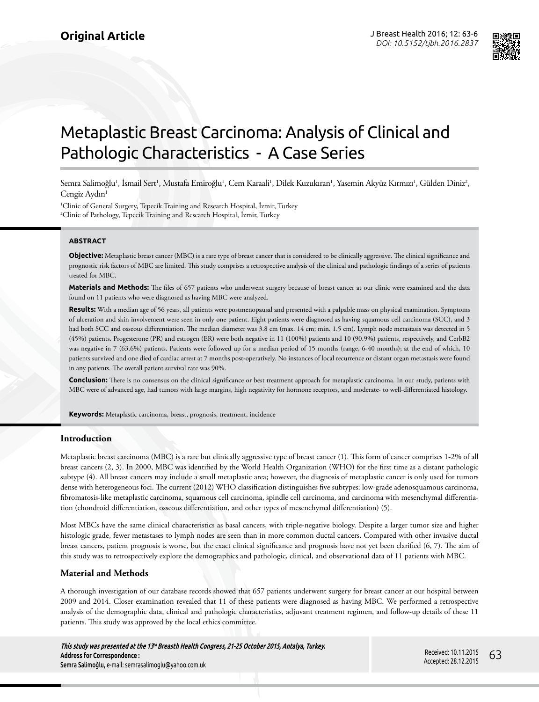

# Metaplastic Breast Carcinoma: Analysis of Clinical and Pathologic Characteristics - A Case Series

Semra Salimoğlu<sup>ı</sup>, İsmail Sert<sup>ı</sup>, Mustafa Emiroğlu<sup>ı</sup>, Cem Karaali<sup>ı</sup>, Dilek Kuzukıran<sup>ı</sup>, Yasemin Akyüz Kırmızı<sup>ı</sup>, Gülden Diniz<sup>2</sup>, Cengiz Aydın<sup>1</sup>

1 Clinic of General Surgery, Tepecik Training and Research Hospital, İzmir, Turkey 2 Clinic of Pathology, Tepecik Training and Research Hospital, İzmir, Turkey

#### **ABSTRACT**

**Objective:** Metaplastic breast cancer (MBC) is a rare type of breast cancer that is considered to be clinically aggressive. The clinical significance and prognostic risk factors of MBC are limited. This study comprises a retrospective analysis of the clinical and pathologic findings of a series of patients treated for MBC.

**Materials and Methods:** The files of 657 patients who underwent surgery because of breast cancer at our clinic were examined and the data found on 11 patients who were diagnosed as having MBC were analyzed.

**Results:** With a median age of 56 years, all patients were postmenopausal and presented with a palpable mass on physical examination. Symptoms of ulceration and skin involvement were seen in only one patient. Eight patients were diagnosed as having squamous cell carcinoma (SCC), and 3 had both SCC and osseous differentiation. The median diameter was 3.8 cm (max. 14 cm; min. 1.5 cm). Lymph node metastasis was detected in 5 (45%) patients. Progesterone (PR) and estrogen (ER) were both negative in 11 (100%) patients and 10 (90.9%) patients, respectively, and CerbB2 was negative in 7 (63.6%) patients. Patients were followed up for a median period of 15 months (range, 6-40 months); at the end of which, 10 patients survived and one died of cardiac arrest at 7 months post-operatively. No instances of local recurrence or distant organ metastasis were found in any patients. The overall patient survival rate was 90%.

**Conclusion:** There is no consensus on the clinical significance or best treatment approach for metaplastic carcinoma. In our study, patients with MBC were of advanced age, had tumors with large margins, high negativity for hormone receptors, and moderate- to well-differentiated histology.

**Keywords:** Metaplastic carcinoma, breast, prognosis, treatment, incidence

# **Introduction**

Metaplastic breast carcinoma (MBC) is a rare but clinically aggressive type of breast cancer (1). This form of cancer comprises 1-2% of all breast cancers (2, 3). In 2000, MBC was identified by the World Health Organization (WHO) for the first time as a distant pathologic subtype (4). All breast cancers may include a small metaplastic area; however, the diagnosis of metaplastic cancer is only used for tumors dense with heterogeneous foci. The current (2012) WHO classification distinguishes five subtypes: low-grade adenosquamous carcinoma, fibromatosis-like metaplastic carcinoma, squamous cell carcinoma, spindle cell carcinoma, and carcinoma with mesenchymal differentiation (chondroid differentiation, osseous differentiation, and other types of mesenchymal differentiation) (5).

Most MBCs have the same clinical characteristics as basal cancers, with triple-negative biology. Despite a larger tumor size and higher histologic grade, fewer metastases to lymph nodes are seen than in more common ductal cancers. Compared with other invasive ductal breast cancers, patient prognosis is worse, but the exact clinical significance and prognosis have not yet been clarified (6, 7). The aim of this study was to retrospectively explore the demographics and pathologic, clinical, and observational data of 11 patients with MBC.

# **Material and Methods**

A thorough investigation of our database records showed that 657 patients underwent surgery for breast cancer at our hospital between 2009 and 2014. Closer examination revealed that 11 of these patients were diagnosed as having MBC. We performed a retrospective analysis of the demographic data, clinical and pathologic characteristics, adjuvant treatment regimen, and follow-up details of these 11 patients. This study was approved by the local ethics committee.

**This study was presented at the 13th Breasth Health Congress, 21-25 October 2015, Antalya, Turkey. Address for Correspondence :**  Semra Salimoğlu, e-mail: semrasalimoglu@yahoo.com.uk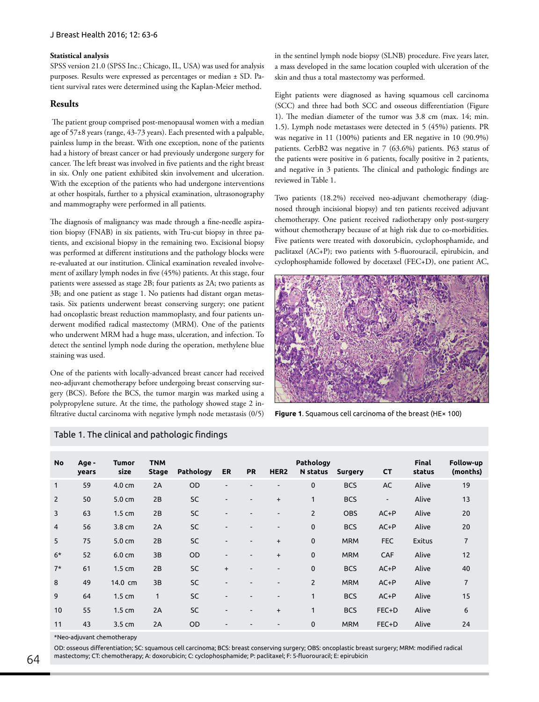#### **Statistical analysis**

SPSS version 21.0 (SPSS Inc.; Chicago, IL, USA) was used for analysis purposes. Results were expressed as percentages or median ± SD. Patient survival rates were determined using the Kaplan-Meier method.

# **Results**

 The patient group comprised post-menopausal women with a median age of 57±8 years (range, 43-73 years). Each presented with a palpable, painless lump in the breast. With one exception, none of the patients had a history of breast cancer or had previously undergone surgery for cancer. The left breast was involved in five patients and the right breast in six. Only one patient exhibited skin involvement and ulceration. With the exception of the patients who had undergone interventions at other hospitals, further to a physical examination, ultrasonography and mammography were performed in all patients.

The diagnosis of malignancy was made through a fine-needle aspiration biopsy (FNAB) in six patients, with Tru-cut biopsy in three patients, and excisional biopsy in the remaining two. Excisional biopsy was performed at different institutions and the pathology blocks were re-evaluated at our institution. Clinical examination revealed involvement of axillary lymph nodes in five (45%) patients. At this stage, four patients were assessed as stage 2B; four patients as 2A; two patients as 3B; and one patient as stage 1. No patients had distant organ metastasis. Six patients underwent breast conserving surgery; one patient had oncoplastic breast reduction mammoplasty, and four patients underwent modified radical mastectomy (MRM). One of the patients who underwent MRM had a huge mass, ulceration, and infection. To detect the sentinel lymph node during the operation, methylene blue staining was used.

One of the patients with locally-advanced breast cancer had received neo-adjuvant chemotherapy before undergoing breast conserving surgery (BCS). Before the BCS, the tumor margin was marked using a polypropylene suture. At the time, the pathology showed stage 2 infiltrative ductal carcinoma with negative lymph node metastasis (0/5)

in the sentinel lymph node biopsy (SLNB) procedure. Five years later, a mass developed in the same location coupled with ulceration of the skin and thus a total mastectomy was performed.

Eight patients were diagnosed as having squamous cell carcinoma (SCC) and three had both SCC and osseous differentiation (Figure 1). The median diameter of the tumor was 3.8 cm (max. 14; min. 1.5). Lymph node metastases were detected in 5 (45%) patients. PR was negative in 11 (100%) patients and ER negative in 10 (90.9%) patients. CerbB2 was negative in 7 (63.6%) patients. P63 status of the patients were positive in 6 patients, focally positive in 2 patients, and negative in 3 patients. The clinical and pathologic findings are reviewed in Table 1.

Two patients (18.2%) received neo-adjuvant chemotherapy (diagnosed through incisional biopsy) and ten patients received adjuvant chemotherapy. One patient received radiotherapy only post-surgery without chemotherapy because of at high risk due to co-morbidities. Five patients were treated with doxorubicin, cyclophosphamide, and paclitaxel (AC+P); two patients with 5-fluorouracil, epirubicin, and cyclophosphamide followed by docetaxel (FEC+D), one patient AC,



**Figure 1**. Squamous cell carcinoma of the breast (HE× 100)

| <b>No</b>      | Age -<br>years | <b>Tumor</b><br>size | <b>TNM</b><br><b>Stage</b> | <b>Pathology</b> | ER        | <b>PR</b> | HER <sub>2</sub> | Pathology<br>N status | <b>Surgery</b> | <b>CT</b>                | <b>Final</b><br>status | Follow-up<br>(months) |
|----------------|----------------|----------------------|----------------------------|------------------|-----------|-----------|------------------|-----------------------|----------------|--------------------------|------------------------|-----------------------|
| $\mathbf{1}$   | 59             | $4.0 \text{ cm}$     | 2A                         | <b>OD</b>        |           |           |                  | $\mathbf{0}$          | <b>BCS</b>     | AC                       | Alive                  | 19                    |
| $\overline{2}$ | 50             | $5.0 \text{ cm}$     | 2B                         | <b>SC</b>        | -         |           | $\ddot{}$        | 1                     | <b>BCS</b>     | $\overline{\phantom{a}}$ | Alive                  | 13                    |
| 3              | 63             | $1.5 \text{ cm}$     | 2B                         | <b>SC</b>        |           |           |                  | $\overline{2}$        | <b>OBS</b>     | $AC+P$                   | Alive                  | 20                    |
| $\overline{4}$ | 56             | $3.8 \text{ cm}$     | 2A                         | <b>SC</b>        |           |           |                  | $\mathbf 0$           | <b>BCS</b>     | $AC+P$                   | Alive                  | 20                    |
| 5              | 75             | $5.0 \text{ cm}$     | 2B                         | <b>SC</b>        |           |           | $\ddot{}$        | $\mathbf 0$           | <b>MRM</b>     | <b>FEC</b>               | <b>Exitus</b>          | $\overline{7}$        |
| $6*$           | 52             | $6.0 \text{ cm}$     | 3B                         | OD               |           |           | $\ddot{}$        | $\mathbf 0$           | <b>MRM</b>     | CAF                      | Alive                  | 12                    |
| $7*$           | 61             | $1.5 \text{ cm}$     | 2B                         | SC               | $\ddot{}$ |           |                  | $\mathbf 0$           | <b>BCS</b>     | $AC+P$                   | Alive                  | 40                    |
| 8              | 49             | 14.0 cm              | 3B                         | <b>SC</b>        |           |           |                  | $\overline{2}$        | <b>MRM</b>     | $AC+P$                   | Alive                  | $\overline{7}$        |
| 9              | 64             | 1.5 <sub>cm</sub>    | $\mathbf{1}$               | SC               |           |           |                  | 1                     | <b>BCS</b>     | $AC+P$                   | Alive                  | 15                    |
| 10             | 55             | $1.5 \text{ cm}$     | 2A                         | <b>SC</b>        |           |           | $\ddot{}$        | 1                     | <b>BCS</b>     | FEC+D                    | Alive                  | 6                     |
| 11             | 43             | 3.5 <sub>cm</sub>    | 2A                         | OD               |           |           |                  | $\mathbf 0$           | <b>MRM</b>     | FEC+D                    | Alive                  | 24                    |

# Table 1. The clinical and pathologic findings

\*Neo-adjuvant chemotherapy

OD: osseous differentiation; SC: squamous cell carcinoma; BCS: breast conserving surgery; OBS: oncoplastic breast surgery; MRM: modified radical mastectomy; CT: chemotherapy; A: doxorubicin; C: cyclophosphamide; P: paclitaxel; F: 5-fluorouracil; E: epirubicin 64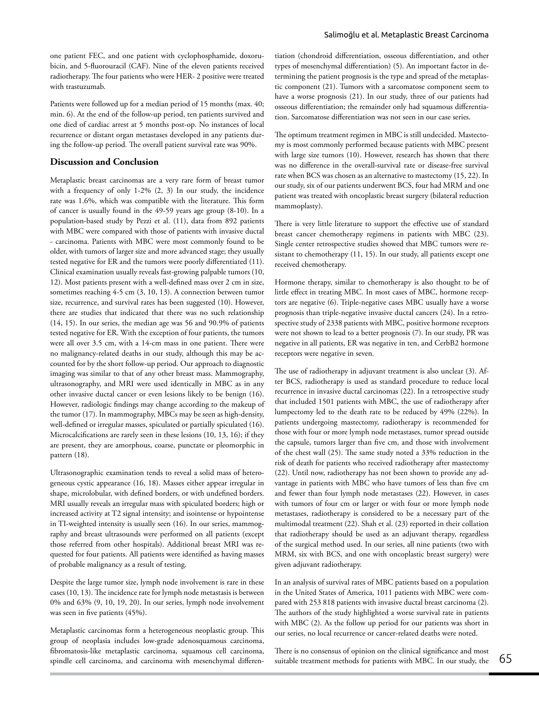Patients were followed up for a median period of 15 months (max. 40; min. 6). At the end of the follow-up period, ten patients survived and one died of cardiac arrest at 5 months post-op. No instances of local recurrence or distant organ metastases developed in any patients during the follow-up period. The overall patient survival rate was 90%.

# **Discussion and Conclusion**

Metaplastic breast carcinomas are a very rare form of breast tumor with a frequency of only 1-2% (2, 3) In our study, the incidence rate was 1.6%, which was compatible with the literature. This form of cancer is usually found in the 49-59 years age group (8-10). In a population-based study by Pezzi et al. (11), data from 892 patients with MBC were compared with those of patients with invasive ductal - carcinoma. Patients with MBC were most commonly found to be older, with tumors of larger size and more advanced stage; they usually tested negative for ER and the tumors were poorly differentiated (11). Clinical examination usually reveals fast-growing palpable tumors (10, 12). Most patients present with a well-defined mass over 2 cm in size, sometimes reaching 4-5 cm (3, 10, 13). A connection between tumor size, recurrence, and survival rates has been suggested (10). However, there are studies that indicated that there was no such relationship (14, 15). In our series, the median age was 56 and 90.9% of patients tested negative for ER. With the exception of four patients, the tumors were all over 3.5 cm, with a 14-cm mass in one patient. There were no malignancy-related deaths in our study, although this may be accounted for by the short follow-up period. Our approach to diagnostic imaging was similar to that of any other breast mass. Mammography, ultrasonography, and MRI were used identically in MBC as in any other invasive ductal cancer or even lesions likely to be benign (16). However, radiologic findings may change according to the makeup of the tumor (17). In mammography, MBCs may be seen as high-density, well-defined or irregular masses, spiculated or partially spiculated (16). Microcalcifications are rarely seen in these lesions (10, 13, 16); if they are present, they are amorphous, coarse, punctate or pleomorphic in pattern (18).

Ultrasonographic examination tends to reveal a solid mass of heterogeneous cystic appearance (16, 18). Masses either appear irregular in shape, microlobular, with defined borders, or with undefined borders. MRI usually reveals an irregular mass with spiculated borders; high or increased activity at T2 signal intensity; and isointense or hypointense in TI-weighted intensity is usually seen (16). In our series, mammography and breast ultrasounds were performed on all patients (except those referred from other hospitals). Additional breast MRI was requested for four patients. All patients were identified as having masses of probable malignancy as a result of testing.

Despite the large tumor size, lymph node involvement is rare in these cases (10, 13). The incidence rate for lymph node metastasis is between 0% and 63% (9, 10, 19, 20). In our series, lymph node involvement was seen in five patients (45%).

Metaplastic carcinomas form a heterogeneous neoplastic group. This group of neoplasia includes low-grade adenosquamous carcinoma, fibromatosis-like metaplastic carcinoma, squamous cell carcinoma, spindle cell carcinoma, and carcinoma with mesenchymal differentiation (chondroid differentiation, osseous differentiation, and other types of mesenchymal differentiation) (5). An important factor in determining the patient prognosis is the type and spread of the metaplastic component (21). Tumors with a sarcomatose component seem to have a worse prognosis (21). In our study, three of our patients had osseous differentiation; the remainder only had squamous differentiation. Sarcomatose differentiation was not seen in our case series.

The optimum treatment regimen in MBC is still undecided. Mastectomy is most commonly performed because patients with MBC present with large size tumors (10). However, research has shown that there was no difference in the overall-survival rate or disease-free survival rate when BCS was chosen as an alternative to mastectomy (15, 22). In our study, six of our patients underwent BCS, four had MRM and one patient was treated with oncoplastic breast surgery (bilateral reduction mammoplasty).

There is very little literature to support the effective use of standard breast cancer chemotherapy regimens in patients with MBC (23). Single center retrospective studies showed that MBC tumors were resistant to chemotherapy (11, 15). In our study, all patients except one received chemotherapy.

Hormone therapy, similar to chemotherapy is also thought to be of little effect in treating MBC. In most cases of MBC, hormone receptors are negative (6). Triple-negative cases MBC usually have a worse prognosis than triple-negative invasive ductal cancers (24). In a retrospective study of 2338 patients with MBC, positive hormone receptors were not shown to lead to a better prognosis (7). In our study, PR was negative in all patients, ER was negative in ten, and CerbB2 hormone receptors were negative in seven.

The use of radiotherapy in adjuvant treatment is also unclear (3). After BCS, radiotherapy is used as standard procedure to reduce local recurrence in invasive ductal carcinomas (22). In a retrospective study that included 1501 patients with MBC, the use of radiotherapy after lumpectomy led to the death rate to be reduced by 49% (22%). In patients undergoing mastectomy, radiotherapy is recommended for those with four or more lymph node metastases, tumor spread outside the capsule, tumors larger than five cm, and those with involvement of the chest wall (25). The same study noted a 33% reduction in the risk of death for patients who received radiotherapy after mastectomy (22). Until now, radiotherapy has not been shown to provide any advantage in patients with MBC who have tumors of less than five cm and fewer than four lymph node metastases (22). However, in cases with tumors of four cm or larger or with four or more lymph node metastases, radiotherapy is considered to be a necessary part of the multimodal treatment (22). Shah et al. (23) reported in their collation that radiotherapy should be used as an adjuvant therapy, regardless of the surgical method used. In our series, all nine patients (two with MRM, six with BCS, and one with oncoplastic breast surgery) were given adjuvant radiotherapy.

In an analysis of survival rates of MBC patients based on a population in the United States of America, 1011 patients with MBC were compared with 253 818 patients with invasive ductal breast carcinoma (2). The authors of the study highlighted a worse survival rate in patients with MBC (2). As the follow up period for our patients was short in our series, no local recurrence or cancer-related deaths were noted.

There is no consensus of opinion on the clinical significance and most suitable treatment methods for patients with MBC. In our study, the  $65$